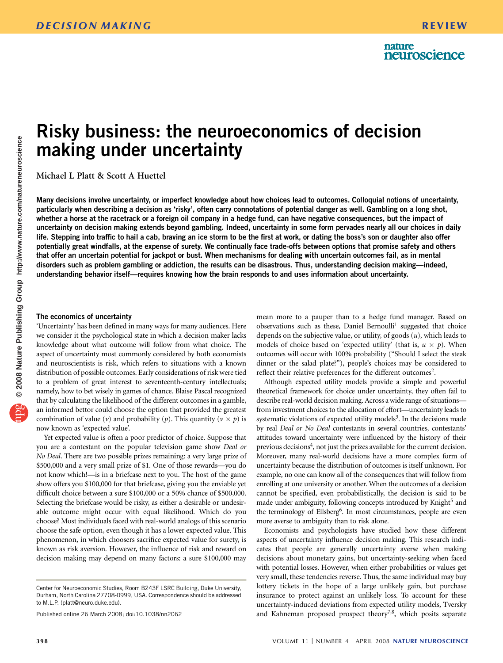

# Risky business: the neuroeconomics of decision making under uncertainty

Michael L Platt & Scott A Huettel

Many decisions involve uncertainty, or imperfect knowledge about how choices lead to outcomes. Colloquial notions of uncertainty, particularly when describing a decision as 'risky', often carry connotations of potential danger as well. Gambling on a long shot, whether a horse at the racetrack or a foreign oil company in a hedge fund, can have negative consequences, but the impact of uncertainty on decision making extends beyond gambling. Indeed, uncertainty in some form pervades nearly all our choices in daily life. Stepping into traffic to hail a cab, braving an ice storm to be the first at work, or dating the boss's son or daughter also offer potentially great windfalls, at the expense of surety. We continually face trade-offs between options that promise safety and others that offer an uncertain potential for jackpot or bust. When mechanisms for dealing with uncertain outcomes fail, as in mental disorders such as problem gambling or addiction, the results can be disastrous. Thus, understanding decision making—indeed, understanding behavior itself—requires knowing how the brain responds to and uses information about uncertainty.

#### The economics of uncertainty

'Uncertainty' has been defined in many ways for many audiences. Here we consider it the psychological state in which a decision maker lacks knowledge about what outcome will follow from what choice. The aspect of uncertainty most commonly considered by both economists and neuroscientists is risk, which refers to situations with a known distribution of possible outcomes. Early considerations of risk were tied to a problem of great interest to seventeenth-century intellectuals; namely, how to bet wisely in games of chance. Blaise Pascal recognized that by calculating the likelihood of the different outcomes in a gamble, an informed bettor could choose the option that provided the greatest combination of value (*v*) and probability (*p*). This quantity ( $\nu \times p$ ) is now known as 'expected value'.

Yet expected value is often a poor predictor of choice. Suppose that you are a contestant on the popular television game show Deal or No Deal. There are two possible prizes remaining: a very large prize of \$500,000 and a very small prize of \$1. One of those rewards—you do not know which!—is in a briefcase next to you. The host of the game show offers you \$100,000 for that briefcase, giving you the enviable yet difficult choice between a sure \$100,000 or a 50% chance of \$500,000. Selecting the briefcase would be risky, as either a desirable or undesirable outcome might occur with equal likelihood. Which do you choose? Most individuals faced with real-world analogs of this scenario choose the safe option, even though it has a lower expected value. This phenomenon, in which choosers sacrifice expected value for surety, is known as risk aversion. However, the influence of risk and reward on decision making may depend on many factors: a sure \$100,000 may mean more to a pauper than to a hedge fund manager. Based on observations such as these, Daniel Bernoulli<sup>[1](#page-4-0)</sup> suggested that choice depends on the subjective value, or utility, of goods  $(u)$ , which leads to models of choice based on 'expected utility' (that is,  $u \times p$ ). When outcomes will occur with 100% probability (''Should I select the steak dinner or the salad plate?''), people's choices may be considered to reflect their relative preferences for the different outcomes<sup>2</sup>.

Although expected utility models provide a simple and powerful theoretical framework for choice under uncertainty, they often fail to describe real-world decision making. Across a wide range of situations from investment choices to the allocation of effort—uncertainty leads to systematic violations of expected utility models<sup>3</sup>. In the decisions made by real Deal or No Deal contestants in several countries, contestants' attitudes toward uncertainty were influenced by the history of their previous decisions<sup>4</sup>, not just the prizes available for the current decision. Moreover, many real-world decisions have a more complex form of uncertainty because the distribution of outcomes is itself unknown. For example, no one can know all of the consequences that will follow from enrolling at one university or another. When the outcomes of a decision cannot be specified, even probabilistically, the decision is said to be made under ambiguity, following concepts introduced by Knight<sup>[5](#page-4-0)</sup> and the terminology of Ellsberg<sup>6</sup>. In most circumstances, people are even more averse to ambiguity than to risk alone.

Economists and psychologists have studied how these different aspects of uncertainty influence decision making. This research indicates that people are generally uncertainty averse when making decisions about monetary gains, but uncertainty-seeking when faced with potential losses. However, when either probabilities or values get very small, these tendencies reverse. Thus, the same individual may buy lottery tickets in the hope of a large unlikely gain, but purchase insurance to protect against an unlikely loss. To account for these uncertainty-induced deviations from expected utility models, Tversky Published online 26 March 2008; doi:10.1038/nn2062 and Kahneman proposed prospect theory<sup>[7,8](#page-4-0)</sup>, which posits separate

Center for Neuroeconomic Studies, Room B243F LSRC Building, Duke University, Durham, North Carolina 27708-0999, USA. Correspondence should be addressed to M.L.P. ([platt@neuro.duke.edu](mailto:platt@neuro.duke.edu)).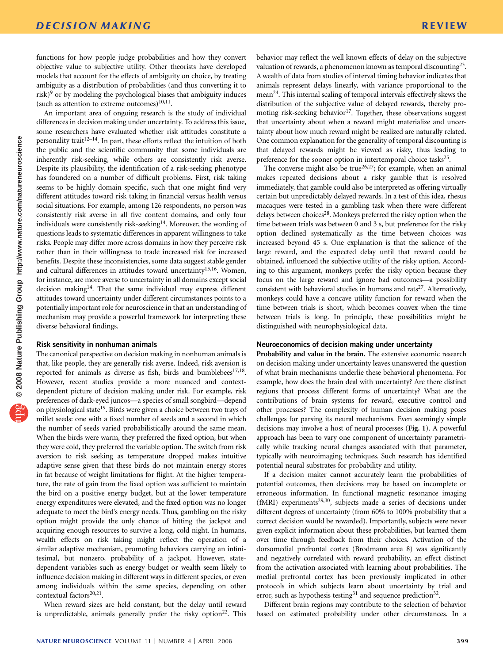functions for how people judge probabilities and how they convert objective value to subjective utility. Other theorists have developed models that account for the effects of ambiguity on choice, by treating ambiguity as a distribution of probabilities (and thus converting it to risk)<sup>9</sup> or by modeling the psychological biases that ambiguity induces (such as attention to extreme outcomes) $10,11$ .

An important area of ongoing research is the study of individual differences in decision making under uncertainty. To address this issue, some researchers have evaluated whether risk attitudes constitute a personality trait<sup>12–14</sup>. In part, these efforts reflect the intuition of both the public and the scientific community that some individuals are inherently risk-seeking, while others are consistently risk averse. Despite its plausibility, the identification of a risk-seeking phenotype has foundered on a number of difficult problems. First, risk taking seems to be highly domain specific, such that one might find very different attitudes toward risk taking in financial versus health versus social situations. For example, among 126 respondents, no person was consistently risk averse in all five content domains, and only four individuals were consistently risk-seeking<sup>14</sup>. Moreover, the wording of questions leads to systematic differences in apparent willingness to take risks. People may differ more across domains in how they perceive risk rather than in their willingness to trade increased risk for increased benefits. Despite these inconsistencies, some data suggest stable gender and cultural differences in attitudes toward uncertainty<sup>15,16</sup>. Women, for instance, are more averse to uncertainty in all domains except social decision making $14$ . That the same individual may express different attitudes toward uncertainty under different circumstances points to a potentially important role for neuroscience in that an understanding of mechanism may provide a powerful framework for interpreting these diverse behavioral findings.

### Risk sensitivity in nonhuman animals

The canonical perspective on decision making in nonhuman animals is that, like people, they are generally risk averse. Indeed, risk aversion is reported for animals as diverse as fish, birds and bumblebees<sup>17,18</sup>. However, recent studies provide a more nuanced and contextdependent picture of decision making under risk. For example, risk preferences of dark-eyed juncos—a species of small songbird—depend on physiological state<sup>19</sup>. Birds were given a choice between two trays of millet seeds: one with a fixed number of seeds and a second in which the number of seeds varied probabilistically around the same mean. When the birds were warm, they preferred the fixed option, but when they were cold, they preferred the variable option. The switch from risk aversion to risk seeking as temperature dropped makes intuitive adaptive sense given that these birds do not maintain energy stores in fat because of weight limitations for flight. At the higher temperature, the rate of gain from the fixed option was sufficient to maintain the bird on a positive energy budget, but at the lower temperature energy expenditures were elevated, and the fixed option was no longer adequate to meet the bird's energy needs. Thus, gambling on the risky option might provide the only chance of hitting the jackpot and acquiring enough resources to survive a long, cold night. In humans, wealth effects on risk taking might reflect the operation of a similar adaptive mechanism, promoting behaviors carrying an infinitesimal, but nonzero, probability of a jackpot. However, statedependent variables such as energy budget or wealth seem likely to influence decision making in different ways in different species, or even among individuals within the same species, depending on other contextual factors<sup>[20,21](#page-4-0)</sup>.

When reward sizes are held constant, but the delay until reward is unpredictable, animals generally prefer the risky option<sup>22</sup>. This behavior may reflect the well known effects of delay on the subjective valuation of rewards, a phenomenon known as temporal discounting<sup>23</sup>. A wealth of data from studies of interval timing behavior indicates that animals represent delays linearly, with variance proportional to the mean<sup>24</sup>. This internal scaling of temporal intervals effectively skews the distribution of the subjective value of delayed rewards, thereby promoting risk-seeking behavior<sup>17</sup>. Together, these observations suggest that uncertainty about when a reward might materialize and uncertainty about how much reward might be realized are naturally related. One common explanation for the generality of temporal discounting is that delayed rewards might be viewed as risky, thus leading to preference for the sooner option in intertemporal choice tasks $^{25}$ .

The converse might also be true<sup>26,27</sup>; for example, when an animal makes repeated decisions about a risky gamble that is resolved immediately, that gamble could also be interpreted as offering virtually certain but unpredictably delayed rewards. In a test of this idea, rhesus macaques were tested in a gambling task when there were different delays between choices<sup>28</sup>. Monkeys preferred the risky option when the time between trials was between 0 and 3 s, but preference for the risky option declined systematically as the time between choices was increased beyond 45 s. One explanation is that the salience of the large reward, and the expected delay until that reward could be obtained, influenced the subjective utility of the risky option. According to this argument, monkeys prefer the risky option because they focus on the large reward and ignore bad outcomes—a possibility consistent with behavioral studies in humans and rats<sup>[27](#page-4-0)</sup>. Alternatively, monkeys could have a concave utility function for reward when the time between trials is short, which becomes convex when the time between trials is long. In principle, these possibilities might be distinguished with neurophysiological data.

## Neuroeconomics of decision making under uncertainty

Probability and value in the brain. The extensive economic research on decision making under uncertainty leaves unanswered the question of what brain mechanisms underlie these behavioral phenomena. For example, how does the brain deal with uncertainty? Are there distinct regions that process different forms of uncertainty? What are the contributions of brain systems for reward, executive control and other processes? The complexity of human decision making poses challenges for parsing its neural mechanisms. Even seemingly simple decisions may involve a host of neural processes (Fig. 1). A powerful approach has been to vary one component of uncertainty parametrically while tracking neural changes associated with that parameter, typically with neuroimaging techniques. Such research has identified potential neural substrates for probability and utility.

If a decision maker cannot accurately learn the probabilities of potential outcomes, then decisions may be based on incomplete or erroneous information. In functional magnetic resonance imaging (fMRI) experiments<sup>29,30</sup>, subjects made a series of decisions under different degrees of uncertainty (from 60% to 100% probability that a correct decision would be rewarded). Importantly, subjects were never given explicit information about these probabilities, but learned them over time through feedback from their choices. Activation of the dorsomedial prefrontal cortex (Brodmann area 8) was significantly and negatively correlated with reward probability, an effect distinct from the activation associated with learning about probabilities. The medial prefrontal cortex has been previously implicated in other protocols in which subjects learn about uncertainty by trial and error, such as hypothesis testing<sup>31</sup> and sequence prediction<sup>32</sup>.

Different brain regions may contribute to the selection of behavior based on estimated probability under other circumstances. In a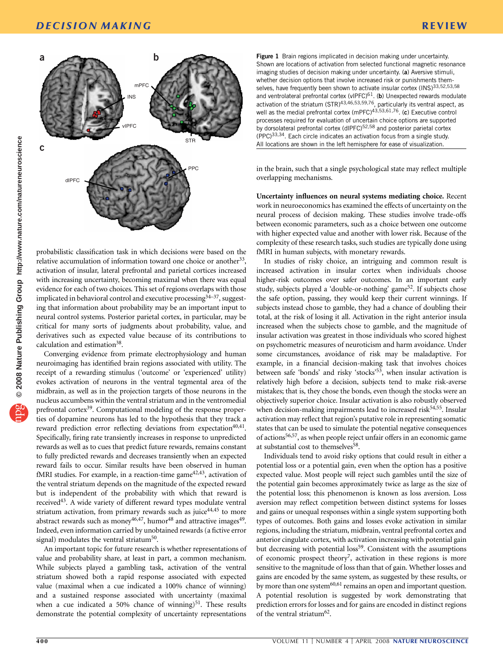

© 2008 Nature Publishing Group http://www.nature.com/natureneuroscience **© 2008 Nature Publishing Group http://www.nature.com/natureneuroscience**

probabilistic classification task in which decisions were based on the relative accumulation of information toward one choice or another<sup>33</sup>, activation of insular, lateral prefrontal and parietal cortices increased with increasing uncertainty, becoming maximal when there was equal evidence for each of two choices. This set of regions overlaps with those implicated in behavioral control and executive processing  $34-37$ , suggesting that information about probability may be an important input to neural control systems. Posterior parietal cortex, in particular, may be critical for many sorts of judgments about probability, value, and derivatives such as expected value because of its contributions to calculation and estimation<sup>38</sup>.

Converging evidence from primate electrophysiology and human neuroimaging has identified brain regions associated with utility. The receipt of a rewarding stimulus ('outcome' or 'experienced' utility) evokes activation of neurons in the ventral tegmental area of the midbrain, as well as in the projection targets of those neurons in the nucleus accumbens within the ventral striatum and in the ventromedial prefrontal cortex<sup>39</sup>. Computational modeling of the response properties of dopamine neurons has led to the hypothesis that they track a reward prediction error reflecting deviations from expectation<sup>40,41</sup>. Specifically, firing rate transiently increases in response to unpredicted rewards as well as to cues that predict future rewards, remains constant to fully predicted rewards and decreases transiently when an expected reward fails to occur. Similar results have been observed in human fMRI studies. For example, in a reaction-time game $42,43$ , activation of the ventral striatum depends on the magnitude of the expected reward but is independent of the probability with which that reward is received<sup>43</sup>. A wide variety of different reward types modulate ventral striatum activation, from primary rewards such as juice<sup>[44,45](#page-5-0)</sup> to more abstract rewards such as money<sup>46,47</sup>, humor<sup>48</sup> and attractive images<sup>49</sup>. Indeed, even information carried by unobtained rewards (a fictive error signal) modulates the ventral striatum<sup>50</sup>.

An important topic for future research is whether representations of value and probability share, at least in part, a common mechanism. While subjects played a gambling task, activation of the ventral striatum showed both a rapid response associated with expected value (maximal when a cue indicated a 100% chance of winning) and a sustained response associated with uncertainty (maximal when a cue indicated a 50% chance of winning)<sup>51</sup>. These results demonstrate the potential complexity of uncertainty representations

**b** Figure 1 Brain regions implicated in decision making under uncertainty. Shown are locations of activation from selected functional magnetic resonance imaging studies of decision making under uncertainty. (a) Aversive stimuli, whether decision options that involve increased risk or punishments themselves, have frequently been shown to activate insular cortex (INS)<sup>33,52,53,58</sup> and ventrolateral prefrontal cortex (vlPFC)<sup>[61](#page-5-0)</sup>. (b) Unexpected rewards modulate activation of the striatum (STR)<sup>43,46,53,59,76</sup>, particularly its ventral aspect, as well as the medial prefrontal cortex (mPFC)<sup>43,53,61,76</sup>. (c) Executive control processes required for evaluation of uncertain choice options are supported by dorsolateral prefrontal cortex (dlPFC)<sup>[52,58](#page-5-0)</sup> and posterior parietal cortex (PPC[\)33,34.](#page-5-0) Each circle indicates an activation focus from a single study. All locations are shown in the left hemisphere for ease of visualization.

> in the brain, such that a single psychological state may reflect multiple overlapping mechanisms.

> Uncertainty influences on neural systems mediating choice. Recent work in neuroeconomics has examined the effects of uncertainty on the neural process of decision making. These studies involve trade-offs between economic parameters, such as a choice between one outcome with higher expected value and another with lower risk. Because of the complexity of these research tasks, such studies are typically done using fMRI in human subjects, with monetary rewards.

> In studies of risky choice, an intriguing and common result is increased activation in insular cortex when individuals choose higher-risk outcomes over safer outcomes. In an important early study, subjects played a 'double-or-nothing' game<sup>52</sup>. If subjects chose the safe option, passing, they would keep their current winnings. If subjects instead chose to gamble, they had a chance of doubling their total, at the risk of losing it all. Activation in the right anterior insula increased when the subjects chose to gamble, and the magnitude of insular activation was greatest in those individuals who scored highest on psychometric measures of neuroticism and harm avoidance. Under some circumstances, avoidance of risk may be maladaptive. For example, in a financial decision-making task that involves choices between safe 'bonds' and risky 'stocks<sup>353</sup>, when insular activation is relatively high before a decision, subjects tend to make risk-averse mistakes; that is, they chose the bonds, even though the stocks were an objectively superior choice. Insular activation is also robustly observed when decision-making impairments lead to increased risk $54,55$ . Insular activation may reflect that region's putative role in representing somatic states that can be used to simulate the potential negative consequences of actions<sup>[56,57](#page-5-0)</sup>, as when people reject unfair offers in an economic game at substantial cost to themselves<sup>58</sup>.

> Individuals tend to avoid risky options that could result in either a potential loss or a potential gain, even when the option has a positive expected value. Most people will reject such gambles until the size of the potential gain becomes approximately twice as large as the size of the potential loss; this phenomenon is known as loss aversion. Loss aversion may reflect competition between distinct systems for losses and gains or unequal responses within a single system supporting both types of outcomes. Both gains and losses evoke activation in similar regions, including the striatum, midbrain, ventral prefrontal cortex and anterior cingulate cortex, with activation increasing with potential gain but decreasing with potential loss<sup>[59](#page-5-0)</sup>. Consistent with the assumptions of economic prospect theory<sup>7</sup>, activation in these regions is more sensitive to the magnitude of loss than that of gain. Whether losses and gains are encoded by the same system, as suggested by these results, or by more than one system<sup>[60,61](#page-5-0)</sup> remains an open and important question. A potential resolution is suggested by work demonstrating that prediction errors for losses and for gains are encoded in distinct regions of the ventral striatum<sup>62</sup>.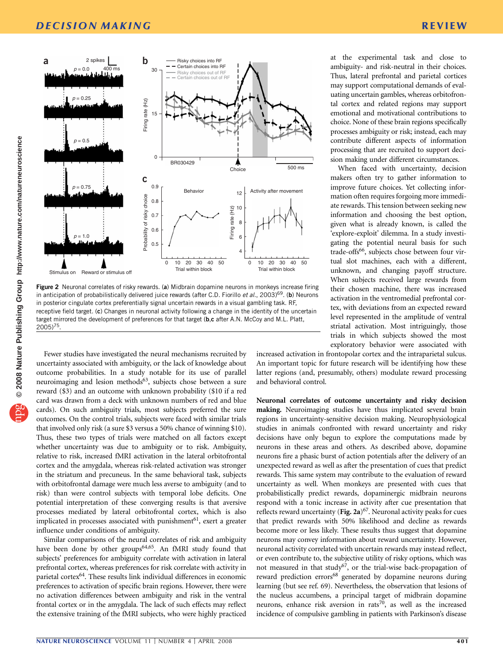

Figure 2 Neuronal correlates of risky rewards. (a) Midbrain dopamine neurons in monkeys increase firing in anticipation of probabilistically delivered juice rewards (after C.D. Fiorillo et al., 2003)<sup>69</sup>. (b) Neurons in posterior cingulate cortex preferentially signal uncertain rewards in a visual gambling task. RF, receptive field target. (c) Changes in neuronal activity following a change in the identity of the uncertain target mirrored the development of preferences for that target (b,c after A.N. McCoy and M.L. Platt, 2005[\)75](#page-5-0).

Fewer studies have investigated the neural mechanisms recruited by uncertainty associated with ambiguity, or the lack of knowledge about outcome probabilities. In a study notable for its use of parallel neuroimaging and lesion methods<sup>63</sup>, subjects chose between a sure reward (\$3) and an outcome with unknown probability (\$10 if a red card was drawn from a deck with unknown numbers of red and blue cards). On such ambiguity trials, most subjects preferred the sure outcomes. On the control trials, subjects were faced with similar trials that involved only risk (a sure \$3 versus a 50% chance of winning \$10). Thus, these two types of trials were matched on all factors except whether uncertainty was due to ambiguity or to risk. Ambiguity, relative to risk, increased fMRI activation in the lateral orbitofrontal cortex and the amygdala, whereas risk-related activation was stronger in the striatum and precuneus. In the same behavioral task, subjects with orbitofrontal damage were much less averse to ambiguity (and to risk) than were control subjects with temporal lobe deficits. One potential interpretation of these converging results is that aversive processes mediated by lateral orbitofrontal cortex, which is also implicated in processes associated with punishment<sup>61</sup>, exert a greater influence under conditions of ambiguity.

Similar comparisons of the neural correlates of risk and ambiguity have been done by other groups<sup>64,65</sup>. An fMRI study found that subjects' preferences for ambiguity correlate with activation in lateral prefrontal cortex, whereas preferences for risk correlate with activity in parietal cortex<sup>64</sup>. These results link individual differences in economic preferences to activation of specific brain regions. However, there were no activation differences between ambiguity and risk in the ventral frontal cortex or in the amygdala. The lack of such effects may reflect the extensive training of the fMRI subjects, who were highly practiced

at the experimental task and close to ambiguity- and risk-neutral in their choices. Thus, lateral prefrontal and parietal cortices may support computational demands of evaluating uncertain gambles, whereas orbitofrontal cortex and related regions may support emotional and motivational contributions to choice. None of these brain regions specifically processes ambiguity or risk; instead, each may contribute different aspects of information processing that are recruited to support decision making under different circumstances.

When faced with uncertainty, decision makers often try to gather information to improve future choices. Yet collecting information often requires forgoing more immediate rewards. This tension between seeking new information and choosing the best option, given what is already known, is called the 'explore-exploit' dilemma. In a study investigating the potential neural basis for such trade-offs<sup>66</sup>, subjects chose between four virtual slot machines, each with a different, unknown, and changing payoff structure. When subjects received large rewards from their chosen machine, there was increased activation in the ventromedial prefrontal cortex, with deviations from an expected reward level represented in the amplitude of ventral striatal activation. Most intriguingly, those trials in which subjects showed the most exploratory behavior were associated with

increased activation in frontopolar cortex and the intraparietal sulcus. An important topic for future research will be identifying how these latter regions (and, presumably, others) modulate reward processing and behavioral control.

Neuronal correlates of outcome uncertainty and risky decision making. Neuroimaging studies have thus implicated several brain regions in uncertainty-sensitive decision making. Neurophysiological studies in animals confronted with reward uncertainty and risky decisions have only begun to explore the computations made by neurons in these areas and others. As described above, dopamine neurons fire a phasic burst of action potentials after the delivery of an unexpected reward as well as after the presentation of cues that predict rewards. This same system may contribute to the evaluation of reward uncertainty as well. When monkeys are presented with cues that probabilistically predict rewards, dopaminergic midbrain neurons respond with a tonic increase in activity after cue presentation that reflects reward uncertainty (Fig. 2a) $67$ . Neuronal activity peaks for cues that predict rewards with 50% likelihood and decline as rewards become more or less likely. These results thus suggest that dopamine neurons may convey information about reward uncertainty. However, neuronal activity correlated with uncertain rewards may instead reflect, or even contribute to, the subjective utility of risky options, which was not measured in that stud[y67,](#page-5-0) or the trial-wise back-propagation of reward prediction errors<sup>[68](#page-5-0)</sup> generated by dopamine neurons during learning (but see ref. 69). Nevertheless, the observation that lesions of the nucleus accumbens, a principal target of midbrain dopamine neurons, enhance risk aversion in rats<sup>[70](#page-5-0)</sup>, as well as the increased incidence of compulsive gambling in patients with Parkinson's disease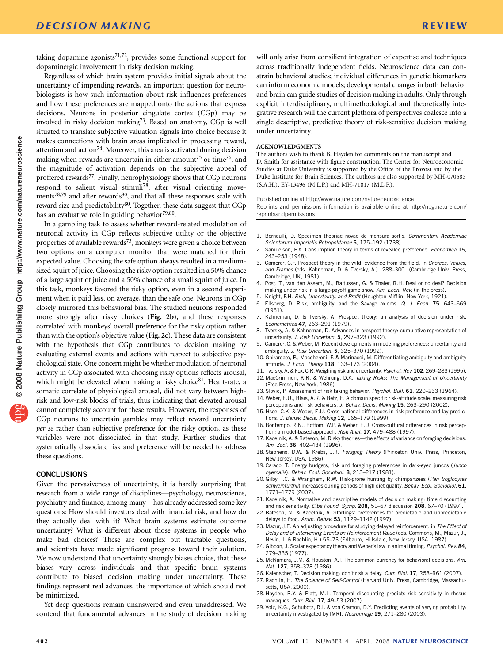<span id="page-4-0"></span>taking dopamine agonists<sup>71,72</sup>, provides some functional support for dopaminergic involvement in risky decision making.

Regardless of which brain system provides initial signals about the uncertainty of impending rewards, an important question for neurobiologists is how such information about risk influences preferences and how these preferences are mapped onto the actions that express decisions. Neurons in posterior cingulate cortex (CGp) may be involved in risky decision making<sup>73</sup>. Based on anatomy, CGp is well situated to translate subjective valuation signals into choice because it makes connections with brain areas implicated in processing reward, attention and action<sup>74</sup>. Moreover, this area is activated during decision making when rewards are uncertain in either amount<sup>[75](#page-5-0)</sup> or time<sup>[76](#page-5-0)</sup>, and the magnitude of activation depends on the subjective appeal of proffered rewards<sup>[77](#page-5-0)</sup>. Finally, neurophysiology shows that CGp neurons respond to salient visual stimuli<sup>[78](#page-5-0)</sup>, after visual orienting move $m$ ents<sup>78,79</sup> and after rewards<sup>80</sup>, and that all these responses scale with reward size and predictability<sup>80</sup>. Together, these data suggest that  $CGp$ has an evaluative role in guiding behavior<sup>79,80</sup>.

In a gambling task to assess whether reward-related modulation of neuronal activity in CGp reflects subjective utility or the objective properties of available rewards<sup>73</sup>, monkeys were given a choice between two options on a computer monitor that were matched for their expected value. Choosing the safe option always resulted in a mediumsized squirt of juice. Choosing the risky option resulted in a 50% chance of a large squirt of juice and a 50% chance of a small squirt of juice. In this task, monkeys favored the risky option, even in a second experiment when it paid less, on average, than the safe one. Neurons in CGp closely mirrored this behavioral bias. The studied neurons responded more strongly after risky choices (Fig. 2b), and these responses correlated with monkeys' overall preference for the risky option rather than with the option's objective value (Fig. 2c). These data are consistent with the hypothesis that CGp contributes to decision making by evaluating external events and actions with respect to subjective psychological state. One concern might be whether modulation of neuronal activity in CGp associated with choosing risky options reflects arousal, which might be elevated when making a risky choice $81$ . Heart-rate, a somatic correlate of physiological arousal, did not vary between highrisk and low-risk blocks of trials, thus indicating that elevated arousal cannot completely account for these results. However, the responses of CGp neurons to uncertain gambles may reflect reward uncertainty per se rather than subjective preference for the risky option, as these variables were not dissociated in that study. Further studies that systematically dissociate risk and preference will be needed to address these questions.

## **CONCLUSIONS**

Given the pervasiveness of uncertainty, it is hardly surprising that research from a wide range of disciplines—psychology, neuroscience, psychiatry and finance, among many—has already addressed some key questions: How should investors deal with financial risk, and how do they actually deal with it? What brain systems estimate outcome uncertainty? What is different about those systems in people who make bad choices? These are complex but tractable questions, and scientists have made significant progress toward their solution. We now understand that uncertainty strongly biases choice, that these biases vary across individuals and that specific brain systems contribute to biased decision making under uncertainty. These findings represent real advances, the importance of which should not be minimized.

Yet deep questions remain unanswered and even unaddressed. We contend that fundamental advances in the study of decision making will only arise from consilient integration of expertise and techniques across traditionally independent fields. Neuroscience data can constrain behavioral studies; individual differences in genetic biomarkers can inform economic models; developmental changes in both behavior and brain can guide studies of decision making in adults. Only through explicit interdisciplinary, multimethodological and theoretically integrative research will the current plethora of perspectives coalesce into a single descriptive, predictive theory of risk-sensitive decision making under uncertainty.

#### ACKNOWLEDGMENTS

The authors wish to thank B. Hayden for comments on the manuscript and D. Smith for assistance with figure construction. The Center for Neuroeconomic Studies at Duke University is supported by the Office of the Provost and by the Duke Institute for Brain Sciences. The authors are also supported by MH-070685 (S.A.H.), EY-13496 (M.L.P.) and MH-71817 (M.L.P.).

Published online at<http://www.nature.com/natureneuroscience>

Reprints and permissions information is available online at [http://npg.nature.com/](http://npg.nature.com/reprintsandpermissions) [reprintsandpermissions](http://npg.nature.com/reprintsandpermissions)

- 1. Bernoulli, D. Specimen theoriae novae de mensura sortis. Commentarii Academiae Scientarum Imperialis Petropolitanae 5, 175–192 (1738).
- 2. Samuelson, P.A. Consumption theory in terms of revealed preference. Economica 15, 243–253 (1948).
- 3. Camerer, C.F. Prospect theory in the wild: evidence from the field. in Choices, Values, and Frames (eds. Kahneman, D. & Tversky, A.) 288–300 (Cambridge Univ. Press, Cambridge, UK, 1981).
- 4. Post, T., van den Assem, M., Baltussen, G. & Thaler, R.H. Deal or no deal? Decision making under risk in a large-payoff game show. Am. Econ. Rev. (in the press).
- 5. Knight, F.H. Risk, Uncertainty, and Profit (Houghton Mifflin, New York, 1921).
- 6. Ellsberg, D. Risk, ambiguity, and the Savage axioms. Q. J. Econ. 75, 643-669 (1961).
- 7. Kahneman, D. & Tversky, A. Prospect theory: an analysis of decision under risk. Econometrica 47, 263–291 (1979).
- 8. Tversky, A. & Kahneman, D. Advances in prospect theory: cumulative representation of uncertainty. J. Risk Uncertain. 5, 297–323 (1992).
- 9. Camerer, C. & Weber, M. Recent developments in modeling preferences: uncertainty and ambiguity. J. Risk Uncertain. 5, 325-370 (1992).
- 10. Ghirardato, P., Maccheroni, F. & Marinacci, M. Differentiating ambiguity and ambiguity attitude. J. Econ. Theory 118, 133–173 (2004).
- 11. Tversky, A. & Fox, C.R. Weighing risk and uncertainty. Psychol. Rev. 102, 269–283 (1995). 12. MacCrimmon, K.R. & Wehrung, D.A. Taking Risks: The Management of Uncertainty
- (Free Press, New York, 1986).
- 13. Slovic, P. Assessment of risk taking behavior. Psychol. Bull. 61, 220-233 (1964).
- 14. Weber, E.U., Blais, A.R. & Betz, E. A domain specific risk-attitude scale: measuring risk perceptions and risk behaviors. J. Behav. Decis. Making 15, 263-290 (2002).
- 15. Hsee, C.K. & Weber, E.U. Cross-national differences in risk preference and lay predictions. J. Behav. Decis. Making 12, 165–179 (1999). 16. Bontempo, R.N., Bottom, W.P. & Weber, E.U. Cross-cultural differences in risk percep-
- tion: a model-based approach. Risk Anal. 17, 479-488 (1997).
- 17. Kacelnik, A. & Bateson, M. Risky theories—the effects of variance on foraging decisions. Am. Zool. 36, 402–434 (1996).
- 18. Stephens, D.W. & Krebs, J.R. Foraging Theory (Princeton Univ. Press, Princeton, New Jersey, USA, 1986).
- 19. Caraco, T. Energy budgets, risk and foraging preferences in dark-eyed juncos (Junco hyemalis). Behav. Ecol. Sociobiol. 8, 213-217 (1981).
- 20. Gilby, I.C. & Wrangham, R.W. Risk-prone hunting by chimpanzees (Pan troglodytes schweinfurthii) increases during periods of high diet quality. Behav. Ecol. Sociobiol. 61, 1771–1779 (2007).
- 21. Kacelnik, A. Normative and descriptive models of decision making: time discounting and risk sensitivity. Ciba Found. Symp. 208, 51-67 discussion 208, 67-70 (1997).
- 22. Bateson, M. & Kacelnik, A. Starlings' preferences for predictable and unpredictable delays to food. Anim. Behav. 53, 1129–1142 (1997).
- 23. Mazur, J.E. An adjusting procedure for studying delayed reinforcement. in The Effect of Delay and of Intervening Events on Reinforcement Value (eds. Commons, M., Mazur, J., Nevin, J. & Rachlin, H.) 55–73 (Erlbaum, Hillsdale, New Jersey, USA, 1987).
- 24. Gibbon, J. Scalar expectancy theory and Weber's law in animal timing. Psychol. Rev. 84, 279–335 (1977).
- 25. McNamara, J.M. & Houston, A.I. The common currency for behavioral decisions. Am. Nat. 127, 358-378 (1986).
- 26. Kalenscher, T. Decision making: don't risk a delay. Curr. Biol. 17, R58-R61 (2007).
- 27. Rachlin, H. The Science of Self-Control (Harvard Univ. Press, Cambridge, Massachusetts, USA, 2000).
- 28. Hayden, B.Y. & Platt, M.L. Temporal discounting predicts risk sensitivity in rhesus macaques. Curr. Biol. 17, 49–53 (2007).
- 29. Volz, K.G., Schubotz, R.I. & von Cramon, D.Y. Predicting events of varying probability: uncertainty investigated by fMRI. Neuroimage 19, 271–280 (2003).